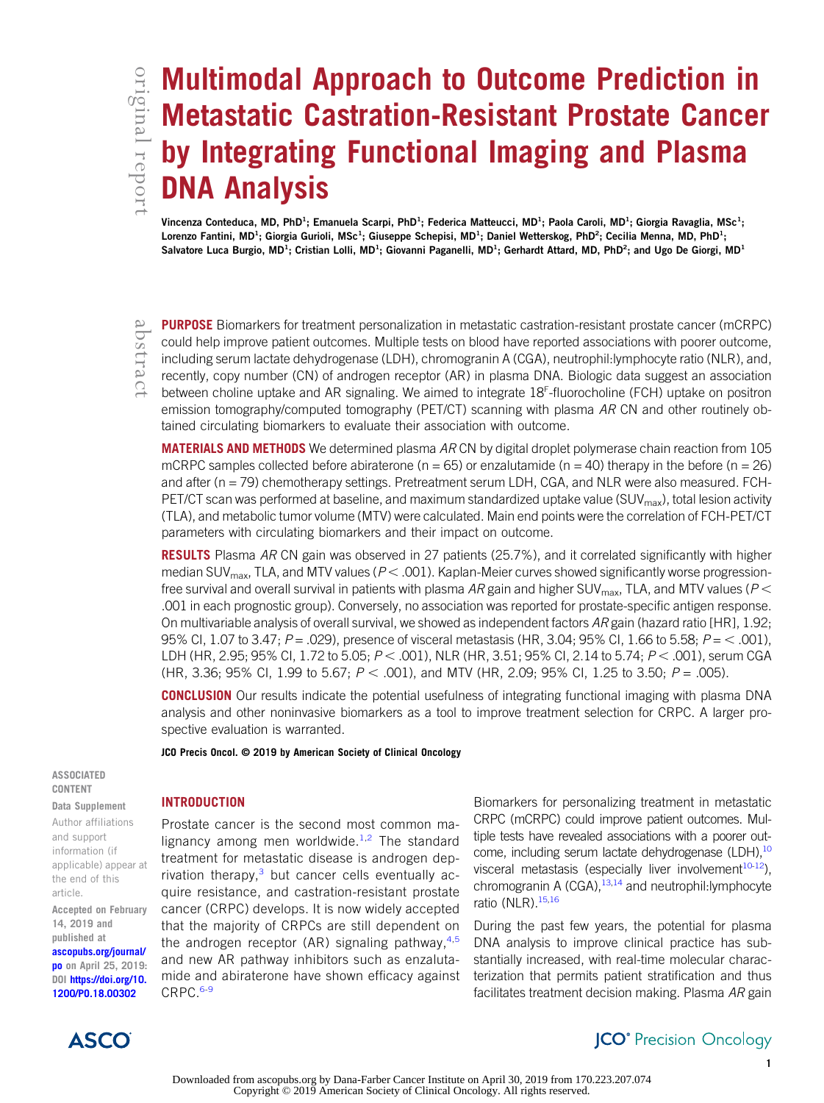# Multimodal Approach to Outcome Prediction in Metastatic Castration-Resistant Prostate Cancer by Integrating Functional Imaging and Plasma DNA Analysis

Vincenza Conteduca, MD, PhD<sup>1</sup>; Emanuela Scarpi, PhD<sup>1</sup>; Federica Matteucci, MD<sup>1</sup>; Paola Caroli, MD<sup>1</sup>; Giorgia Ravaglia, MSc<sup>1</sup>; Lorenzo Fantini, MD<sup>1</sup>; Giorgia Gurioli, MSc<sup>1</sup>; Giuseppe Schepisi, MD<sup>1</sup>; Daniel Wetterskog, PhD<sup>2</sup>; Cecilia Menna, MD, PhD<sup>1</sup>; Salvatore Luca Burgio, MD<sup>1</sup>; Cristian Lolli, MD<sup>1</sup>; Giovanni Paganelli, MD<sup>1</sup>; Gerhardt Attard, MD, PhD<sup>2</sup>; and Ugo De Giorgi, MD<sup>1</sup>

PURPOSE Biomarkers for treatment personalization in metastatic castration-resistant prostate cancer (mCRPC) could help improve patient outcomes. Multiple tests on blood have reported associations with poorer outcome, including serum lactate dehydrogenase (LDH), chromogranin A (CGA), neutrophil:lymphocyte ratio (NLR), and, recently, copy number (CN) of androgen receptor (AR) in plasma DNA. Biologic data suggest an association between choline uptake and AR signaling. We aimed to integrate 18<sup>F</sup>-fluorocholine (FCH) uptake on positron emission tomography/computed tomography (PET/CT) scanning with plasma AR CN and other routinely obtained circulating biomarkers to evaluate their association with outcome.

**MATERIALS AND METHODS** We determined plasma AR CN by digital droplet polymerase chain reaction from 105 mCRPC samples collected before abiraterone ( $n = 65$ ) or enzalutamide ( $n = 40$ ) therapy in the before ( $n = 26$ ) and after (n = 79) chemotherapy settings. Pretreatment serum LDH, CGA, and NLR were also measured. FCH-PET/CT scan was performed at baseline, and maximum standardized uptake value (SUV<sub>max</sub>), total lesion activity (TLA), and metabolic tumor volume (MTV) were calculated. Main end points were the correlation of FCH-PET/CT parameters with circulating biomarkers and their impact on outcome.

RESULTS Plasma AR CN gain was observed in 27 patients (25.7%), and it correlated significantly with higher median SUV<sub>max</sub>, TLA, and MTV values ( $P < .001$ ). Kaplan-Meier curves showed significantly worse progressionfree survival and overall survival in patients with plasma AR gain and higher SUV<sub>max</sub>, TLA, and MTV values ( $P$  < .001 in each prognostic group). Conversely, no association was reported for prostate-specific antigen response. On multivariable analysis of overall survival, we showed as independent factors AR gain (hazard ratio [HR],  $1.92$ ; 95% CI, 1.07 to 3.47;  $P = .029$ ), presence of visceral metastasis (HR, 3.04; 95% CI, 1.66 to 5.58;  $P = < .001$ ), LDH (HR, 2.95; 95% CI, 1.72 to 5.05;  $P <$  .001), NLR (HR, 3.51; 95% CI, 2.14 to 5.74;  $P <$  .001), serum CGA (HR, 3.36; 95% CI, 1.99 to 5.67;  $P < .001$ ), and MTV (HR, 2.09; 95% CI, 1.25 to 3.50;  $P = .005$ ).

**CONCLUSION** Our results indicate the potential usefulness of integrating functional imaging with plasma DNA analysis and other noninvasive biomarkers as a tool to improve treatment selection for CRPC. A larger prospective evaluation is warranted.

JCO Precis Oncol. © 2019 by American Society of Clinical Oncology

ASSOCIATED CONTENT

Data Supplement

Author affiliations and support information (if applicable) appear at the end of this article. Accepted on February 14, 2019 and published at [ascopubs.org/journal/](http://ascopubs.org/journal/po) [po](http://ascopubs.org/journal/po) on April 25, 2019: DOI [https://doi.org/10.](http://ascopubs.org/doi/full/10.1200/PO.18.00302) [1200/PO.18.00302](http://ascopubs.org/doi/full/10.1200/PO.18.00302)

# INTRODUCTION

Prostate cancer is the second most common malignancy among men worldwide. $1,2$  The standard treatment for metastatic disease is androgen deprivation therapy, $3$  but cancer cells eventually acquire resistance, and castration-resistant prostate cancer (CRPC) develops. It is now widely accepted that the majority of CRPCs are still dependent on the androgen receptor  $(AR)$  signaling pathway,  $4.5$ and new AR pathway inhibitors such as enzalutamide and abiraterone have shown efficacy against CRPC.<sup>[6-9](#page-12-0)</sup>

Biomarkers for personalizing treatment in metastatic CRPC (mCRPC) could improve patient outcomes. Multiple tests have revealed associations with a poorer outcome, including serum lactate dehydrogenase (LDH), <sup>10</sup> visceral metastasis (especially liver involvement $10-12$ ), chromogranin A (CGA),  $13,14$  and neutrophil: lymphocyte ratio (NLR).<sup>15,16</sup>

During the past few years, the potential for plasma DNA analysis to improve clinical practice has substantially increased, with real-time molecular characterization that permits patient stratification and thus facilitates treatment decision making. Plasma AR gain

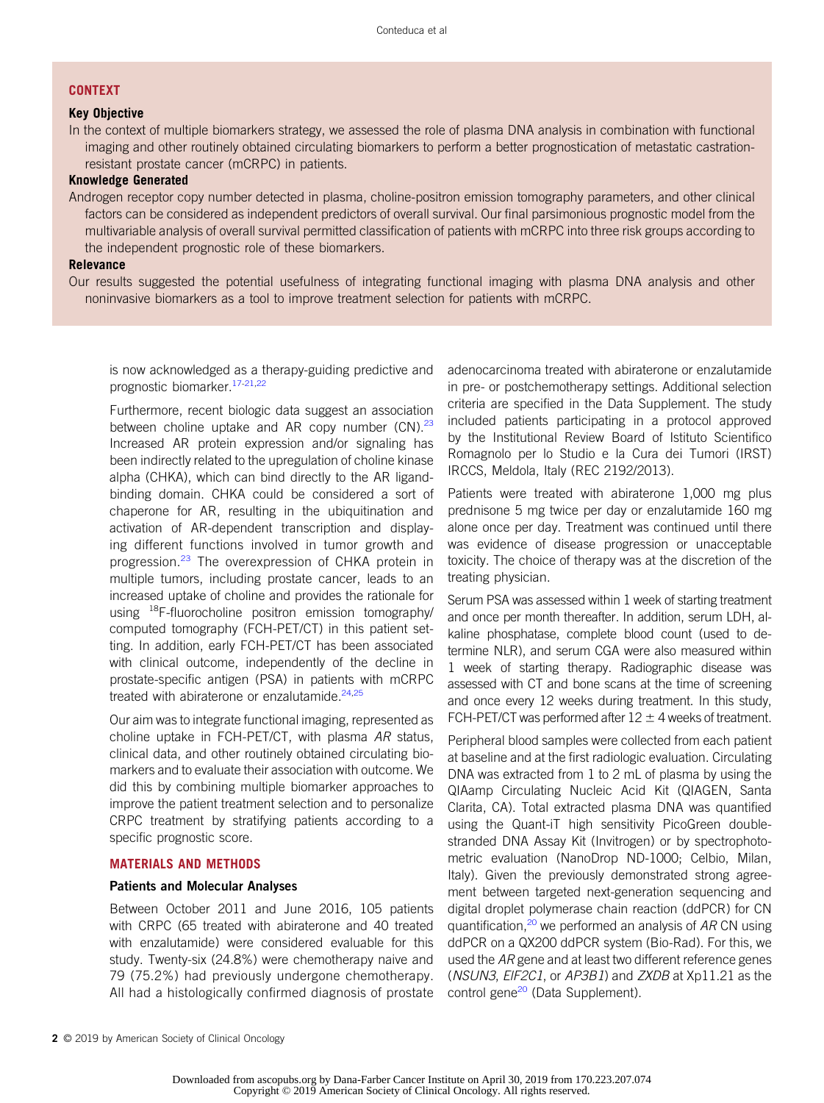# **CONTEXT**

## Key Objective

In the context of multiple biomarkers strategy, we assessed the role of plasma DNA analysis in combination with functional imaging and other routinely obtained circulating biomarkers to perform a better prognostication of metastatic castrationresistant prostate cancer (mCRPC) in patients.

#### Knowledge Generated

Androgen receptor copy number detected in plasma, choline-positron emission tomography parameters, and other clinical factors can be considered as independent predictors of overall survival. Our final parsimonious prognostic model from the multivariable analysis of overall survival permitted classification of patients with mCRPC into three risk groups according to the independent prognostic role of these biomarkers.

## Relevance

Our results suggested the potential usefulness of integrating functional imaging with plasma DNA analysis and other noninvasive biomarkers as a tool to improve treatment selection for patients with mCRPC.

is now acknowledged as a therapy-guiding predictive and prognostic biomarker.[17-21,22](#page-12-0)

Furthermore, recent biologic data suggest an association between choline uptake and AR copy number  $(CN)^{23}$  $(CN)^{23}$  $(CN)^{23}$ Increased AR protein expression and/or signaling has been indirectly related to the upregulation of choline kinase alpha (CHKA), which can bind directly to the AR ligandbinding domain. CHKA could be considered a sort of chaperone for AR, resulting in the ubiquitination and activation of AR-dependent transcription and displaying different functions involved in tumor growth and progression.<sup>[23](#page-12-0)</sup> The overexpression of CHKA protein in multiple tumors, including prostate cancer, leads to an increased uptake of choline and provides the rationale for using  $^{18}$ F-fluorocholine positron emission tomography/ computed tomography (FCH-PET/CT) in this patient setting. In addition, early FCH-PET/CT has been associated with clinical outcome, independently of the decline in prostate-specific antigen (PSA) in patients with mCRPC treated with abiraterone or enzalutamide. $24,25$ 

Our aim was to integrate functional imaging, represented as choline uptake in FCH-PET/CT, with plasma AR status, clinical data, and other routinely obtained circulating biomarkers and to evaluate their association with outcome. We did this by combining multiple biomarker approaches to improve the patient treatment selection and to personalize CRPC treatment by stratifying patients according to a specific prognostic score.

#### MATERIALS AND METHODS

#### Patients and Molecular Analyses

Between October 2011 and June 2016, 105 patients with CRPC (65 treated with abiraterone and 40 treated with enzalutamide) were considered evaluable for this study. Twenty-six (24.8%) were chemotherapy naive and 79 (75.2%) had previously undergone chemotherapy. All had a histologically confirmed diagnosis of prostate

adenocarcinoma treated with abiraterone or enzalutamide in pre- or postchemotherapy settings. Additional selection criteria are specified in the Data Supplement. The study included patients participating in a protocol approved by the Institutional Review Board of Istituto Scientifico Romagnolo per lo Studio e la Cura dei Tumori (IRST) IRCCS, Meldola, Italy (REC 2192/2013).

Patients were treated with abiraterone 1,000 mg plus prednisone 5 mg twice per day or enzalutamide 160 mg alone once per day. Treatment was continued until there was evidence of disease progression or unacceptable toxicity. The choice of therapy was at the discretion of the treating physician.

Serum PSA was assessed within 1 week of starting treatment and once per month thereafter. In addition, serum LDH, alkaline phosphatase, complete blood count (used to determine NLR), and serum CGA were also measured within 1 week of starting therapy. Radiographic disease was assessed with CT and bone scans at the time of screening and once every 12 weeks during treatment. In this study, FCH-PET/CT was performed after  $12 \pm 4$  weeks of treatment.

Peripheral blood samples were collected from each patient at baseline and at the first radiologic evaluation. Circulating DNA was extracted from 1 to 2 mL of plasma by using the QIAamp Circulating Nucleic Acid Kit (QIAGEN, Santa Clarita, CA). Total extracted plasma DNA was quantified using the Quant-iT high sensitivity PicoGreen doublestranded DNA Assay Kit (Invitrogen) or by spectrophotometric evaluation (NanoDrop ND-1000; Celbio, Milan, Italy). Given the previously demonstrated strong agreement between targeted next-generation sequencing and digital droplet polymerase chain reaction (ddPCR) for CN quantification,<sup>[20](#page-12-0)</sup> we performed an analysis of  $AR$  CN using ddPCR on a QX200 ddPCR system (Bio-Rad). For this, we used the AR gene and at least two different reference genes (NSUN3, ElF2C1, or AP3B1) and ZXDB at Xp11.21 as the control gene<sup>[20](#page-12-0)</sup> (Data Supplement).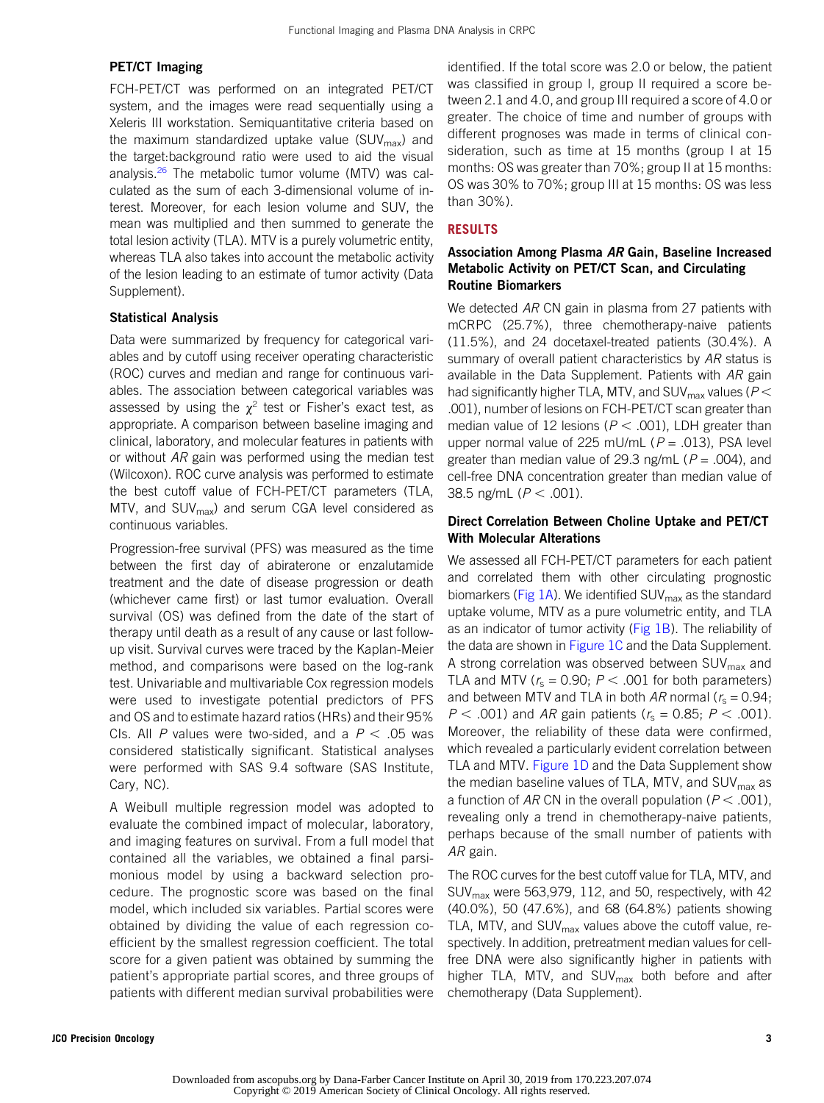# PET/CT Imaging

FCH-PET/CT was performed on an integrated PET/CT system, and the images were read sequentially using a Xeleris III workstation. Semiquantitative criteria based on the maximum standardized uptake value (SUV $_{\text{max}}$ ) and the target:background ratio were used to aid the visual analysis. $26$  The metabolic tumor volume (MTV) was calculated as the sum of each 3-dimensional volume of interest. Moreover, for each lesion volume and SUV, the mean was multiplied and then summed to generate the total lesion activity (TLA). MTV is a purely volumetric entity, whereas TLA also takes into account the metabolic activity of the lesion leading to an estimate of tumor activity (Data Supplement).

# Statistical Analysis

Data were summarized by frequency for categorical variables and by cutoff using receiver operating characteristic (ROC) curves and median and range for continuous variables. The association between categorical variables was assessed by using the  $\chi^2$  test or Fisher's exact test, as appropriate. A comparison between baseline imaging and clinical, laboratory, and molecular features in patients with or without AR gain was performed using the median test (Wilcoxon). ROC curve analysis was performed to estimate the best cutoff value of FCH-PET/CT parameters (TLA, MTV, and  $SUV<sub>max</sub>$ ) and serum CGA level considered as continuous variables.

Progression-free survival (PFS) was measured as the time between the first day of abiraterone or enzalutamide treatment and the date of disease progression or death (whichever came first) or last tumor evaluation. Overall survival (OS) was defined from the date of the start of therapy until death as a result of any cause or last followup visit. Survival curves were traced by the Kaplan-Meier method, and comparisons were based on the log-rank test. Univariable and multivariable Cox regression models were used to investigate potential predictors of PFS and OS and to estimate hazard ratios (HRs) and their 95% CIs. All P values were two-sided, and a  $P < .05$  was considered statistically significant. Statistical analyses were performed with SAS 9.4 software (SAS Institute, Cary, NC).

A Weibull multiple regression model was adopted to evaluate the combined impact of molecular, laboratory, and imaging features on survival. From a full model that contained all the variables, we obtained a final parsimonious model by using a backward selection procedure. The prognostic score was based on the final model, which included six variables. Partial scores were obtained by dividing the value of each regression coefficient by the smallest regression coefficient. The total score for a given patient was obtained by summing the patient's appropriate partial scores, and three groups of patients with different median survival probabilities were identified. If the total score was 2.0 or below, the patient was classified in group I, group II required a score between 2.1 and 4.0, and group III required a score of 4.0 or greater. The choice of time and number of groups with different prognoses was made in terms of clinical consideration, such as time at 15 months (group I at 15 months: OS was greater than 70%; group II at 15 months: OS was 30% to 70%; group III at 15 months: OS was less than 30%).

## RESULTS

# Association Among Plasma AR Gain, Baseline Increased Metabolic Activity on PET/CT Scan, and Circulating Routine Biomarkers

We detected AR CN gain in plasma from 27 patients with mCRPC (25.7%), three chemotherapy-naive patients (11.5%), and 24 docetaxel-treated patients (30.4%). A summary of overall patient characteristics by AR status is available in the Data Supplement. Patients with AR gain had significantly higher TLA, MTV, and SUV $_{\text{max}}$  values ( $P <$ .001), number of lesions on FCH-PET/CT scan greater than median value of 12 lesions ( $P < .001$ ), LDH greater than upper normal value of 225 mU/mL ( $P = .013$ ), PSA level greater than median value of 29.3 ng/mL ( $P = .004$ ), and cell-free DNA concentration greater than median value of 38.5 ng/mL ( $P < .001$ ).

# Direct Correlation Between Choline Uptake and PET/CT With Molecular Alterations

We assessed all FCH-PET/CT parameters for each patient and correlated them with other circulating prognostic biomarkers ([Fig 1A\)](#page-3-0). We identified  $SUV_{\text{max}}$  as the standard uptake volume, MTV as a pure volumetric entity, and TLA as an indicator of tumor activity ([Fig 1B](#page-3-0)). The reliability of the data are shown in Figure  $1C$  and the Data Supplement. A strong correlation was observed between  $SUV<sub>max</sub>$  and TLA and MTV ( $r_s = 0.90$ ;  $P < .001$  for both parameters) and between MTV and TLA in both AR normal ( $r_s = 0.94$ ;  $P < .001$ ) and AR gain patients ( $r_s = 0.85$ ;  $P < .001$ ). Moreover, the reliability of these data were confirmed, which revealed a particularly evident correlation between TLA and MTV. [Figure 1D](#page-3-0) and the Data Supplement show the median baseline values of TLA, MTV, and  $\text{SUV}_{\text{max}}$  as a function of AR CN in the overall population ( $P < .001$ ), revealing only a trend in chemotherapy-naive patients, perhaps because of the small number of patients with AR gain.

The ROC curves for the best cutoff value for TLA, MTV, and SUV $_{\text{max}}$  were 563,979, 112, and 50, respectively, with 42 (40.0%), 50 (47.6%), and 68 (64.8%) patients showing TLA, MTV, and SUV $_{\text{max}}$  values above the cutoff value, respectively. In addition, pretreatment median values for cellfree DNA were also significantly higher in patients with higher TLA, MTV, and  $SUV<sub>max</sub>$  both before and after chemotherapy (Data Supplement).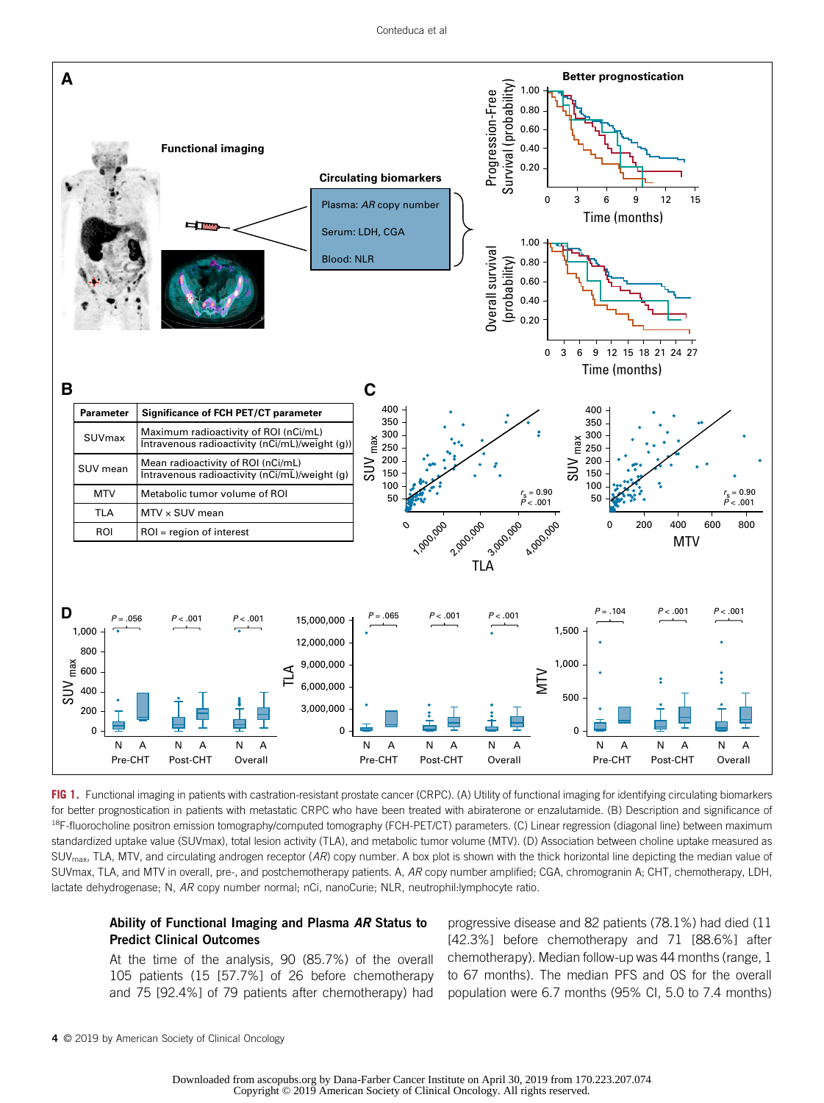<span id="page-3-0"></span>

FIG 1. Functional imaging in patients with castration-resistant prostate cancer (CRPC). (A) Utility of functional imaging for identifying circulating biomarkers for better prognostication in patients with metastatic CRPC who have been treated with abiraterone or enzalutamide. (B) Description and significance of <sup>18</sup>F-fluorocholine positron emission tomography/computed tomography (FCH-PET/CT) parameters. (C) Linear regression (diagonal line) between maximum standardized uptake value (SUVmax), total lesion activity (TLA), and metabolic tumor volume (MTV). (D) Association between choline uptake measured as  $SUV<sub>max</sub>$ , TLA, MTV, and circulating androgen receptor (AR) copy number. A box plot is shown with the thick horizontal line depicting the median value of SUVmax, TLA, and MTV in overall, pre-, and postchemotherapy patients. A, AR copy number amplified; CGA, chromogranin A; CHT, chemotherapy, LDH, lactate dehydrogenase; N, AR copy number normal; nCi, nanoCurie; NLR, neutrophil:lymphocyte ratio.

# Ability of Functional Imaging and Plasma AR Status to Predict Clinical Outcomes

At the time of the analysis, 90 (85.7%) of the overall 105 patients (15 [57.7%] of 26 before chemotherapy and 75 [92.4%] of 79 patients after chemotherapy) had

progressive disease and 82 patients (78.1%) had died (11 [42.3%] before chemotherapy and 71 [88.6%] after chemotherapy). Median follow-up was 44 months (range, 1 to 67 months). The median PFS and OS for the overall population were 6.7 months (95% CI, 5.0 to 7.4 months)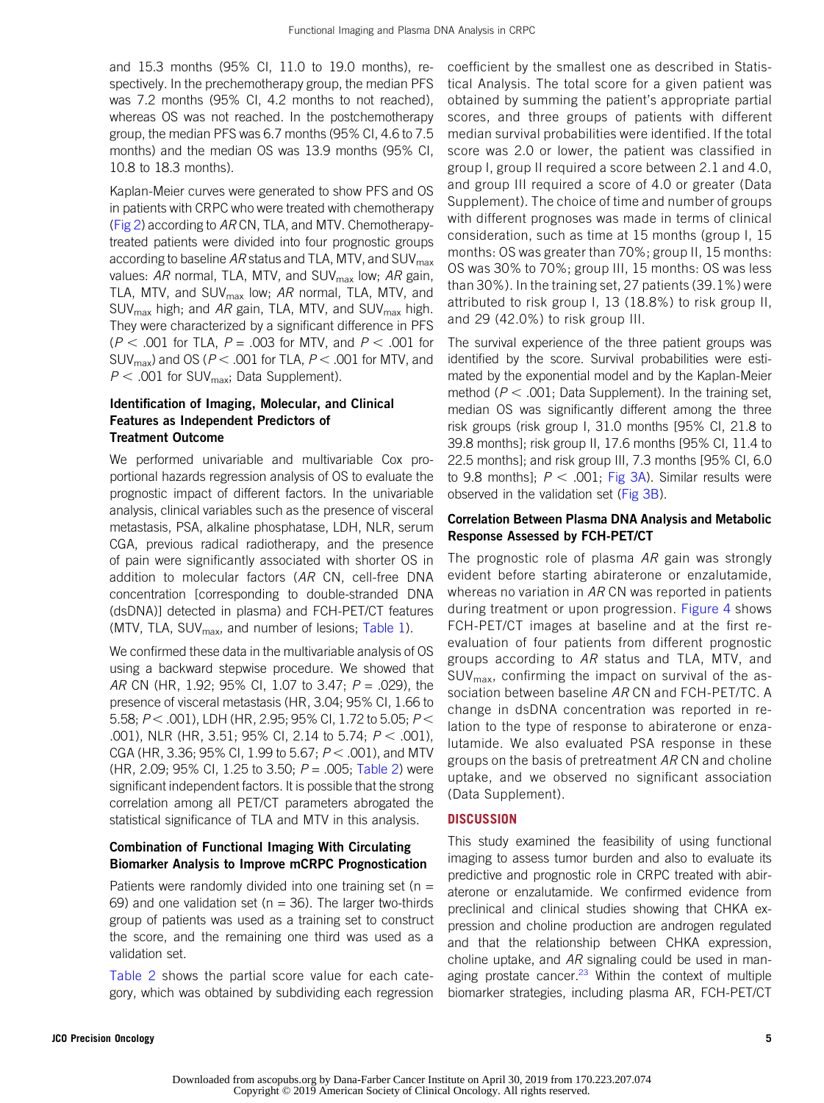and 15.3 months (95% CI, 11.0 to 19.0 months), respectively. In the prechemotherapy group, the median PFS was 7.2 months (95% CI, 4.2 months to not reached), whereas OS was not reached. In the postchemotherapy group, the median PFS was 6.7 months (95% CI, 4.6 to 7.5 months) and the median OS was 13.9 months (95% CI, 10.8 to 18.3 months).

Kaplan-Meier curves were generated to show PFS and OS in patients with CRPC who were treated with chemotherapy ([Fig 2](#page-5-0)) according to AR CN, TLA, and MTV. Chemotherapytreated patients were divided into four prognostic groups according to baseline  $AR$  status and TLA, MTV, and SUV $_{\text{max}}$ values: AR normal, TLA, MTV, and SUV $_{\text{max}}$  low; AR gain, TLA, MTV, and SUV $_{\text{max}}$  low; AR normal, TLA, MTV, and SUV<sub>max</sub> high; and AR gain, TLA, MTV, and SUV<sub>max</sub> high. They were characterized by a significant difference in PFS  $(P < .001$  for TLA,  $P = .003$  for MTV, and  $P < .001$  for SUV<sub>max</sub>) and OS ( $P < .001$  for TLA,  $P < .001$  for MTV, and  $P < .001$  for SUV<sub>max</sub>; Data Supplement).

# Identification of Imaging, Molecular, and Clinical Features as Independent Predictors of Treatment Outcome

We performed univariable and multivariable Cox proportional hazards regression analysis of OS to evaluate the prognostic impact of different factors. In the univariable analysis, clinical variables such as the presence of visceral metastasis, PSA, alkaline phosphatase, LDH, NLR, serum CGA, previous radical radiotherapy, and the presence of pain were significantly associated with shorter OS in addition to molecular factors (AR CN, cell-free DNA concentration [corresponding to double-stranded DNA (dsDNA)] detected in plasma) and FCH-PET/CT features (MTV, TLA, SUV $_{\text{max}}$ , and number of lesions; [Table 1](#page-6-0)).

We confirmed these data in the multivariable analysis of OS using a backward stepwise procedure. We showed that AR CN (HR, 1.92; 95% CI, 1.07 to 3.47;  $P = .029$ ), the presence of visceral metastasis (HR, 3.04; 95% CI, 1.66 to 5.58;  $P <$  .001), LDH (HR, 2.95; 95% CI, 1.72 to 5.05;  $P <$ .001), NLR (HR, 3.51; 95% CI, 2.14 to 5.74;  $P < .001$ ), CGA (HR, 3.36; 95% CI, 1.99 to 5.67;  $P < .001$ ), and MTV (HR, 2.09; 95% CI, 1.25 to 3.50;  $P = .005$ ; [Table 2](#page-8-0)) were significant independent factors. It is possible that the strong correlation among all PET/CT parameters abrogated the statistical significance of TLA and MTV in this analysis.

# Combination of Functional Imaging With Circulating Biomarker Analysis to Improve mCRPC Prognostication

Patients were randomly divided into one training set ( $n =$ 69) and one validation set ( $n = 36$ ). The larger two-thirds group of patients was used as a training set to construct the score, and the remaining one third was used as a validation set.

[Table 2](#page-8-0) shows the partial score value for each category, which was obtained by subdividing each regression coefficient by the smallest one as described in Statistical Analysis. The total score for a given patient was obtained by summing the patient's appropriate partial scores, and three groups of patients with different median survival probabilities were identified. If the total score was 2.0 or lower, the patient was classified in group I, group II required a score between 2.1 and 4.0, and group III required a score of 4.0 or greater (Data Supplement). The choice of time and number of groups with different prognoses was made in terms of clinical consideration, such as time at 15 months (group I, 15 months: OS was greater than 70%; group II, 15 months: OS was 30% to 70%; group III, 15 months: OS was less than 30%). In the training set, 27 patients (39.1%) were attributed to risk group I, 13 (18.8%) to risk group II, and 29 (42.0%) to risk group III.

The survival experience of the three patient groups was identified by the score. Survival probabilities were estimated by the exponential model and by the Kaplan-Meier method ( $P < .001$ ; Data Supplement). In the training set, median OS was significantly different among the three risk groups (risk group I, 31.0 months [95% CI, 21.8 to 39.8 months]; risk group II, 17.6 months [95% CI, 11.4 to 22.5 months]; and risk group III, 7.3 months [95% CI, 6.0 to 9.8 months];  $P < .001$ ; [Fig 3A\)](#page-9-0). Similar results were observed in the validation set [\(Fig 3B](#page-9-0)).

# Correlation Between Plasma DNA Analysis and Metabolic Response Assessed by FCH-PET/CT

The prognostic role of plasma AR gain was strongly evident before starting abiraterone or enzalutamide, whereas no variation in AR CN was reported in patients during treatment or upon progression. [Figure 4](#page-10-0) shows FCH-PET/CT images at baseline and at the first reevaluation of four patients from different prognostic groups according to AR status and TLA, MTV, and  $SUV_{max}$ , confirming the impact on survival of the association between baseline AR CN and FCH-PET/TC. A change in dsDNA concentration was reported in relation to the type of response to abiraterone or enzalutamide. We also evaluated PSA response in these groups on the basis of pretreatment AR CN and choline uptake, and we observed no significant association (Data Supplement).

## **DISCUSSION**

This study examined the feasibility of using functional imaging to assess tumor burden and also to evaluate its predictive and prognostic role in CRPC treated with abiraterone or enzalutamide. We confirmed evidence from preclinical and clinical studies showing that CHKA expression and choline production are androgen regulated and that the relationship between CHKA expression, choline uptake, and  $AR$  signaling could be used in managing prostate cancer. $23$  Within the context of multiple biomarker strategies, including plasma AR, FCH-PET/CT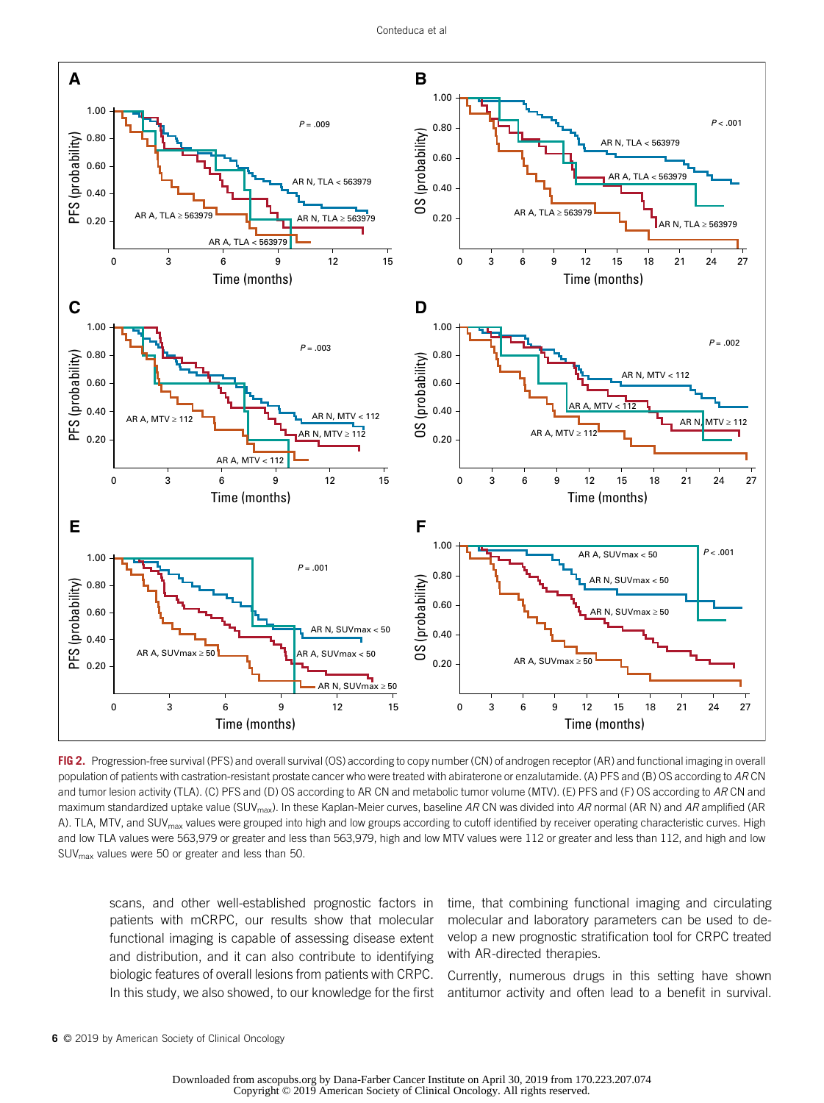<span id="page-5-0"></span>

FIG 2. Progression-free survival (PFS) and overall survival (OS) according to copy number (CN) of androgen receptor (AR) and functional imaging in overall population of patients with castration-resistant prostate cancer who were treated with abiraterone or enzalutamide. (A) PFS and (B) OS according to AR CN and tumor lesion activity (TLA). (C) PFS and (D) OS according to AR CN and metabolic tumor volume (MTV). (E) PFS and (F) OS according to AR CN and maximum standardized uptake value (SUV<sub>max</sub>). In these Kaplan-Meier curves, baseline AR CN was divided into AR normal (AR N) and AR amplified (AR A). TLA, MTV, and SUV<sub>max</sub> values were grouped into high and low groups according to cutoff identified by receiver operating characteristic curves. High and low TLA values were 563,979 or greater and less than 563,979, high and low MTV values were 112 or greater and less than 112, and high and low SUVmax values were 50 or greater and less than 50.

scans, and other well-established prognostic factors in patients with mCRPC, our results show that molecular functional imaging is capable of assessing disease extent and distribution, and it can also contribute to identifying biologic features of overall lesions from patients with CRPC. In this study, we also showed, to our knowledge for the first time, that combining functional imaging and circulating molecular and laboratory parameters can be used to develop a new prognostic stratification tool for CRPC treated with AR-directed therapies.

Currently, numerous drugs in this setting have shown antitumor activity and often lead to a benefit in survival.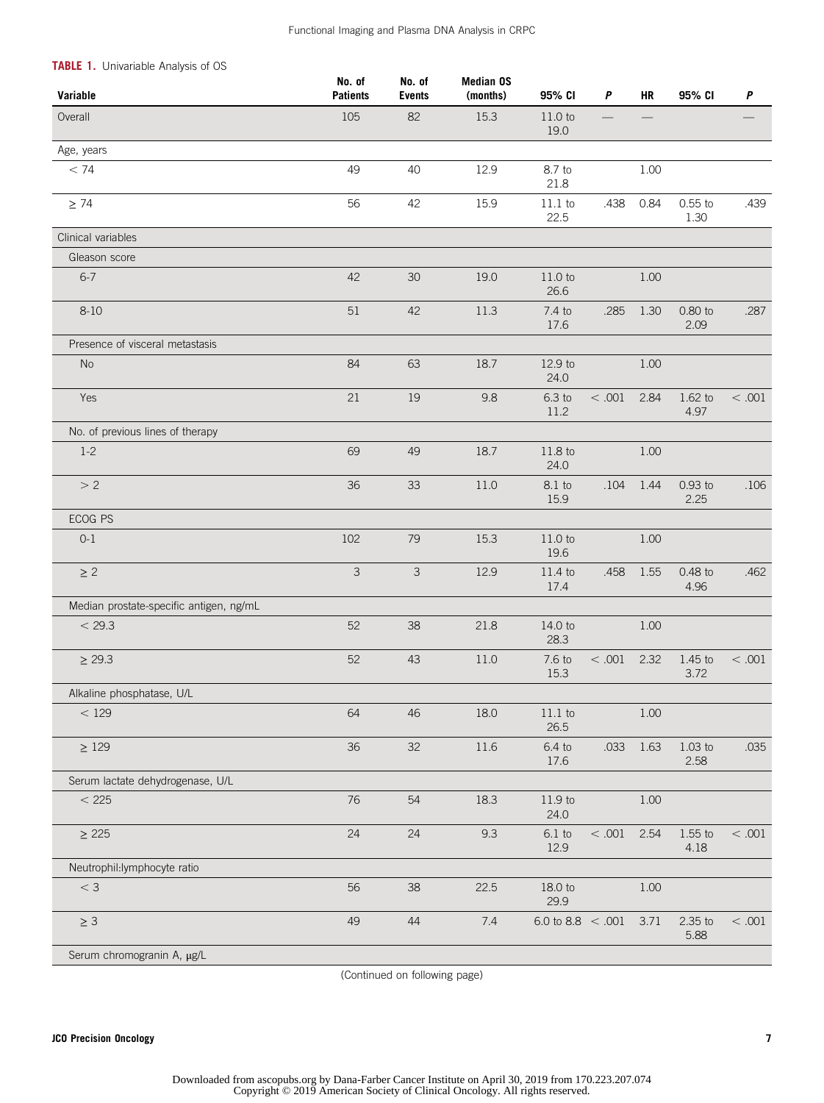## <span id="page-6-0"></span>**TABLE 1.** Univariable Analysis of OS

| Variable                                | No. of<br><b>Patients</b> | No. of<br><b>Events</b> | <b>Median OS</b><br>(months) | 95% CI                                | P          | <b>HR</b> | 95% CI            | P       |
|-----------------------------------------|---------------------------|-------------------------|------------------------------|---------------------------------------|------------|-----------|-------------------|---------|
| Overall                                 | 105                       | 82                      | 15.3                         | 11.0 to<br>19.0                       |            |           |                   |         |
| Age, years                              |                           |                         |                              |                                       |            |           |                   |         |
| < 74                                    | 49                        | 40                      | 12.9                         | 8.7 to<br>21.8                        |            | 1.00      |                   |         |
| $\geq 74$                               | 56                        | 42                      | 15.9                         | $11.1$ to<br>22.5                     | .438       | 0.84      | $0.55$ to<br>1.30 | .439    |
| Clinical variables                      |                           |                         |                              |                                       |            |           |                   |         |
| Gleason score                           |                           |                         |                              |                                       |            |           |                   |         |
| $6 - 7$                                 | 42                        | 30                      | 19.0                         | 11.0 <sub>to</sub><br>26.6            |            | 1.00      |                   |         |
| $8 - 10$                                | 51                        | 42                      | 11.3                         | 7.4 to<br>17.6                        | .285       | 1.30      | $0.80$ to<br>2.09 | .287    |
| Presence of visceral metastasis         |                           |                         |                              |                                       |            |           |                   |         |
| <b>No</b>                               | 84                        | 63                      | 18.7                         | 12.9 to<br>24.0                       |            | 1.00      |                   |         |
| Yes                                     | 21                        | 19                      | 9.8                          | 6.3 <sub>to</sub><br>11.2             | $<.001\,$  | 2.84      | $1.62$ to<br>4.97 | $<.001$ |
| No. of previous lines of therapy        |                           |                         |                              |                                       |            |           |                   |         |
| $1 - 2$                                 | 69                        | 49                      | 18.7                         | 11.8 to<br>24.0                       |            | 1.00      |                   |         |
| $>2\,$                                  | 36                        | 33                      | 11.0                         | $8.1$ to<br>15.9                      | .104       | 1.44      | $0.93$ to<br>2.25 | .106    |
| ECOG PS                                 |                           |                         |                              |                                       |            |           |                   |         |
| $0-1$                                   | 102                       | 79                      | 15.3                         | 11.0 <sub>to</sub><br>19.6            |            | 1.00      |                   |         |
| $\geq 2$                                | 3                         | 3                       | 12.9                         | 11.4 <sub>to</sub><br>17.4            | .458       | 1.55      | $0.48$ to<br>4.96 | .462    |
| Median prostate-specific antigen, ng/mL |                           |                         |                              |                                       |            |           |                   |         |
| < 29.3                                  | 52                        | 38                      | 21.8                         | 14.0 to<br>28.3                       |            | 1.00      |                   |         |
| $\geq 29.3$                             | 52                        | 43                      | 11.0                         | 7.6 to<br>15.3                        | $<.001\,$  | 2.32      | $1.45$ to<br>3.72 | < .001  |
| Alkaline phosphatase, U/L               |                           |                         |                              |                                       |            |           |                   |         |
| $<129\,$                                | 64                        | 46                      | 18.0                         | $11.1$ to<br>26.5                     |            | 1.00      |                   |         |
| $\geq$ 129                              | $36\,$                    | 32                      | $11.6\,$                     | 6.4t<br>17.6                          | .033       | 1.63      | $1.03$ to<br>2.58 | .035    |
| Serum lactate dehydrogenase, U/L        |                           |                         |                              |                                       |            |           |                   |         |
| < 225                                   | 76                        | 54                      | 18.3                         | 11.9 to<br>24.0                       |            | 1.00      |                   |         |
| $\geq 225$                              | 24                        | 24                      | 9.3                          | $6.1$ to<br>12.9                      | $< .001\,$ | 2.54      | $1.55$ to<br>4.18 | $<.001$ |
| Neutrophil: lymphocyte ratio            |                           |                         |                              |                                       |            |           |                   |         |
| $<$ 3                                   | 56                        | 38                      | 22.5                         | 18.0 to<br>29.9                       |            | 1.00      |                   |         |
| $\geq 3$                                | 49                        | 44                      | 7.4                          | $6.0 \text{ to } 8.8 \text{ } < .001$ |            | 3.71      | 2.35 to<br>5.88   | < .001  |
| Serum chromogranin A, µg/L              |                           |                         |                              |                                       |            |           |                   |         |

(Continued on following page)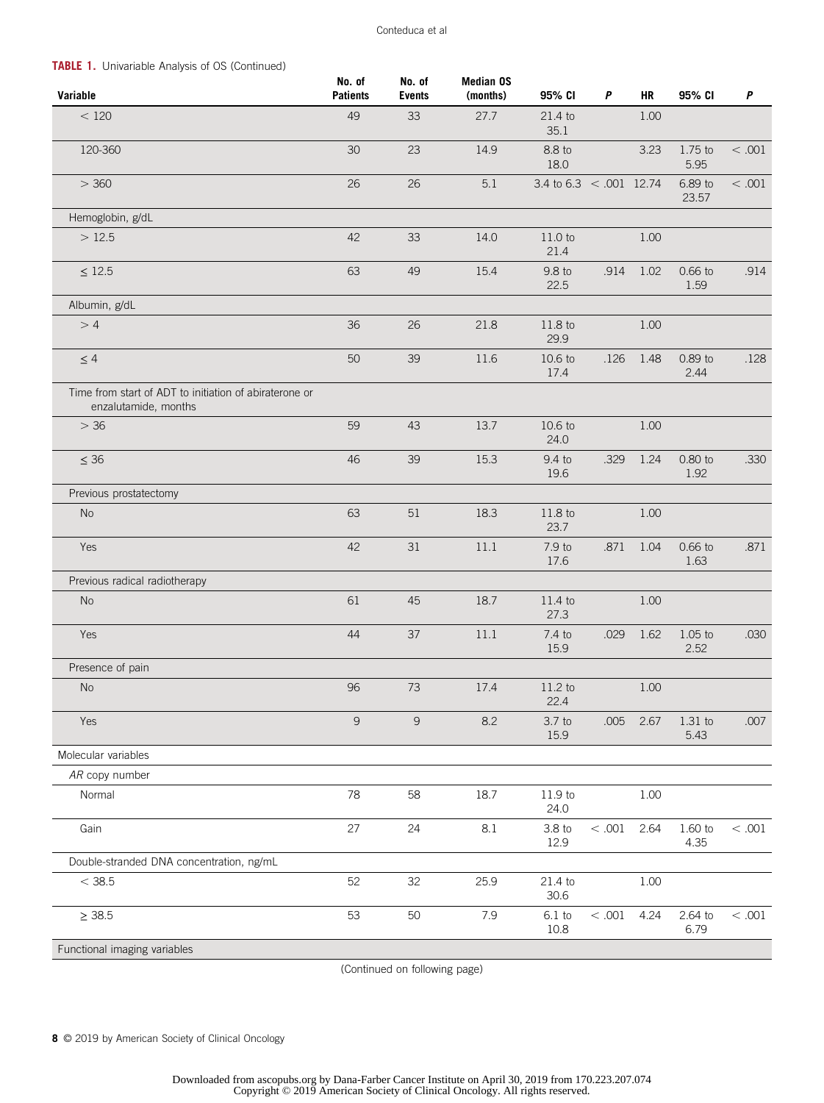|  |  |  |  | <b>TABLE 1.</b> Univariable Analysis of OS (Continued) |
|--|--|--|--|--------------------------------------------------------|
|--|--|--|--|--------------------------------------------------------|

| Variable                                                                       | No. of<br><b>Patients</b> | No. of<br><b>Events</b> | <b>Median OS</b><br>(months) | 95% CI                       | P          | <b>HR</b> | 95% CI            | P         |
|--------------------------------------------------------------------------------|---------------------------|-------------------------|------------------------------|------------------------------|------------|-----------|-------------------|-----------|
| < 120                                                                          | 49                        | 33                      | 27.7                         | 21.4 to<br>35.1              |            | 1.00      |                   |           |
| 120-360                                                                        | 30                        | 23                      | 14.9                         | 8.8 to<br>18.0               |            | 3.23      | $1.75$ to<br>5.95 | < .001    |
| > 360                                                                          | 26                        | 26                      | 5.1                          | 3.4 to 6.3 $\leq$ .001 12.74 |            |           | 6.89 to<br>23.57  | < .001    |
| Hemoglobin, g/dL                                                               |                           |                         |                              |                              |            |           |                   |           |
| >12.5                                                                          | 42                        | 33                      | 14.0                         | 11.0 <sub>to</sub><br>21.4   |            | 1.00      |                   |           |
| $\leq 12.5$                                                                    | 63                        | 49                      | 15.4                         | 9.8 to<br>22.5               | .914       | 1.02      | $0.66$ to<br>1.59 | .914      |
| Albumin, g/dL                                                                  |                           |                         |                              |                              |            |           |                   |           |
| >4                                                                             | 36                        | 26                      | 21.8                         | 11.8 to<br>29.9              |            | 1.00      |                   |           |
| $\leq 4$                                                                       | 50                        | 39                      | 11.6                         | 10.6 to<br>17.4              | .126       | 1.48      | 0.89 to<br>2.44   | .128      |
| Time from start of ADT to initiation of abiraterone or<br>enzalutamide, months |                           |                         |                              |                              |            |           |                   |           |
| > 36                                                                           | 59                        | 43                      | 13.7                         | 10.6 to<br>24.0              |            | 1.00      |                   |           |
| $\leq 36$                                                                      | 46                        | 39                      | 15.3                         | 9.4 to<br>19.6               | .329       | 1.24      | $0.80$ to<br>1.92 | .330      |
| Previous prostatectomy                                                         |                           |                         |                              |                              |            |           |                   |           |
| <b>No</b>                                                                      | 63                        | 51                      | 18.3                         | 11.8 to<br>23.7              |            | 1.00      |                   |           |
| Yes                                                                            | 42                        | 31                      | 11.1                         | 7.9 to<br>17.6               | .871       | 1.04      | $0.66$ to<br>1.63 | .871      |
| Previous radical radiotherapy                                                  |                           |                         |                              |                              |            |           |                   |           |
| <b>No</b>                                                                      | 61                        | 45                      | 18.7                         | 11.4 <sub>to</sub><br>27.3   |            | 1.00      |                   |           |
| Yes                                                                            | 44                        | 37                      | 11.1                         | 7.4 to<br>15.9               | .029       | 1.62      | $1.05$ to<br>2.52 | .030      |
| Presence of pain                                                               |                           |                         |                              |                              |            |           |                   |           |
| No                                                                             | 96                        | 73                      | 17.4                         | $11.2$ to<br>22.4            |            | 1.00      |                   |           |
| Yes                                                                            | 9                         | 9                       | 8.2                          | 3.7 to<br>15.9               | .005       | 2.67      | $1.31$ to<br>5.43 | .007      |
| Molecular variables                                                            |                           |                         |                              |                              |            |           |                   |           |
| AR copy number                                                                 |                           |                         |                              |                              |            |           |                   |           |
| Normal                                                                         | 78                        | 58                      | 18.7                         | 11.9 to<br>24.0              |            | 1.00      |                   |           |
| Gain                                                                           | 27                        | 24                      | $8.1\,$                      | 3.8 <sub>to</sub><br>12.9    | < .001     | 2.64      | 1.60 to<br>4.35   | < .001    |
| Double-stranded DNA concentration, ng/mL                                       |                           |                         |                              |                              |            |           |                   |           |
| $<$ 38.5                                                                       | 52                        | 32                      | 25.9                         | 21.4 to<br>30.6              |            | 1.00      |                   |           |
| $\geq 38.5$                                                                    | 53                        | 50                      | 7.9                          | $6.1$ to<br>10.8             | $< .001\,$ | 4.24      | $2.64$ to<br>6.79 | $<.001\,$ |
| Functional imaging variables                                                   |                           |                         |                              |                              |            |           |                   |           |

(Continued on following page)

8 © 2019 by American Society of Clinical Oncology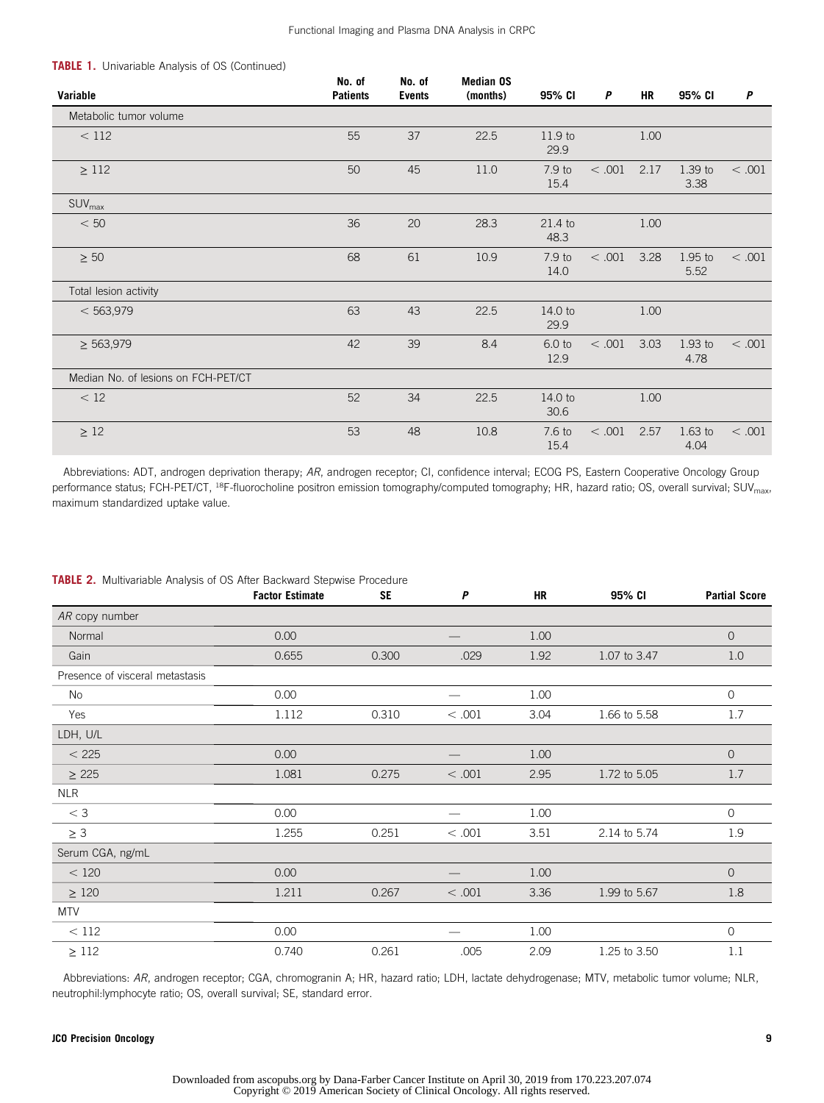| <b>INDLL 1.</b> Utilivariable Arialysis UI US (CUTTERINGL) |                           |                         |                              |                            |        |      |                   |        |
|------------------------------------------------------------|---------------------------|-------------------------|------------------------------|----------------------------|--------|------|-------------------|--------|
| Variable                                                   | No. of<br><b>Patients</b> | No. of<br><b>Events</b> | <b>Median OS</b><br>(months) | 95% CI                     | P      | HR   | 95% CI            | P      |
| Metabolic tumor volume                                     |                           |                         |                              |                            |        |      |                   |        |
| $<$ 112                                                    | 55                        | 37                      | 22.5                         | 11.9 <sub>to</sub><br>29.9 |        | 1.00 |                   |        |
| $\geq$ 112                                                 | 50                        | 45                      | 11.0                         | 7.9 to<br>15.4             | < .001 | 2.17 | $1.39$ to<br>3.38 | < .001 |
| <b>SUV</b> <sub>max</sub>                                  |                           |                         |                              |                            |        |      |                   |        |
| < 50                                                       | 36                        | 20                      | 28.3                         | $21.4$ to<br>48.3          |        | 1.00 |                   |        |
| $\geq 50$                                                  | 68                        | 61                      | 10.9                         | 7.9 <sub>to</sub><br>14.0  | < .001 | 3.28 | $1.95$ to<br>5.52 | < .001 |
| Total lesion activity                                      |                           |                         |                              |                            |        |      |                   |        |
| < 563,979                                                  | 63                        | 43                      | 22.5                         | 14.0 to<br>29.9            |        | 1.00 |                   |        |
| $\geq 563,979$                                             | 42                        | 39                      | 8.4                          | 6.0 <sub>to</sub><br>12.9  | < .001 | 3.03 | $1.93$ to<br>4.78 | < .001 |
| Median No. of lesions on FCH-PET/CT                        |                           |                         |                              |                            |        |      |                   |        |
| < 12                                                       | 52                        | 34                      | 22.5                         | 14.0 to<br>30.6            |        | 1.00 |                   |        |
| $\geq$ 12                                                  | 53                        | 48                      | 10.8                         | 7.6 to<br>15.4             | < .001 | 2.57 | $1.63$ to<br>4.04 | < .001 |

<span id="page-8-0"></span>TABLE 1. Univariable Analysis of OS (Continued)

Abbreviations: ADT, androgen deprivation therapy; AR, androgen receptor; CI, confidence interval; ECOG PS, Eastern Cooperative Oncology Group performance status; FCH-PET/CT, <sup>18</sup>F-fluorocholine positron emission tomography/computed tomography; HR, hazard ratio; OS, overall survival; SUV<sub>max</sub>, maximum standardized uptake value.

### TABLE 2. Multivariable Analysis of OS After Backward Stepwise Procedure

|                                 | <b>Factor Estimate</b> | <b>SE</b> | P         | <b>HR</b> | 95% CI       | <b>Partial Score</b> |
|---------------------------------|------------------------|-----------|-----------|-----------|--------------|----------------------|
| AR copy number                  |                        |           |           |           |              |                      |
| Normal                          | 0.00                   |           |           | 1.00      |              | $\mathbf 0$          |
| Gain                            | 0.655                  | 0.300     | .029      | 1.92      | 1.07 to 3.47 | 1.0                  |
| Presence of visceral metastasis |                        |           |           |           |              |                      |
| No                              | 0.00                   |           |           | 1.00      |              | $\mathbf 0$          |
| Yes                             | 1.112                  | 0.310     | < .001    | 3.04      | 1.66 to 5.58 | 1.7                  |
| LDH, U/L                        |                        |           |           |           |              |                      |
| < 225                           | 0.00                   |           |           | 1.00      |              | $\mathbf 0$          |
| $\geq 225$                      | 1.081                  | 0.275     | $<.001\,$ | 2.95      | 1.72 to 5.05 | 1.7                  |
| <b>NLR</b>                      |                        |           |           |           |              |                      |
| $<$ 3                           | 0.00                   |           |           | 1.00      |              | $\mathbf 0$          |
| $\geq 3$                        | 1.255                  | 0.251     | < .001    | 3.51      | 2.14 to 5.74 | 1.9                  |
| Serum CGA, ng/mL                |                        |           |           |           |              |                      |
| < 120                           | 0.00                   |           |           | 1.00      |              | $\mathbf 0$          |
| $\geq$ 120                      | 1.211                  | 0.267     | < .001    | 3.36      | 1.99 to 5.67 | 1.8                  |
| <b>MTV</b>                      |                        |           |           |           |              |                      |
| < 112                           | 0.00                   |           |           | 1.00      |              | $\mathbf 0$          |
| $\geq$ 112                      | 0.740                  | 0.261     | .005      | 2.09      | 1.25 to 3.50 | 1.1                  |

Abbreviations: AR, androgen receptor; CGA, chromogranin A; HR, hazard ratio; LDH, lactate dehydrogenase; MTV, metabolic tumor volume; NLR, neutrophil:lymphocyte ratio; OS, overall survival; SE, standard error.

#### JCO Precision Oncology 9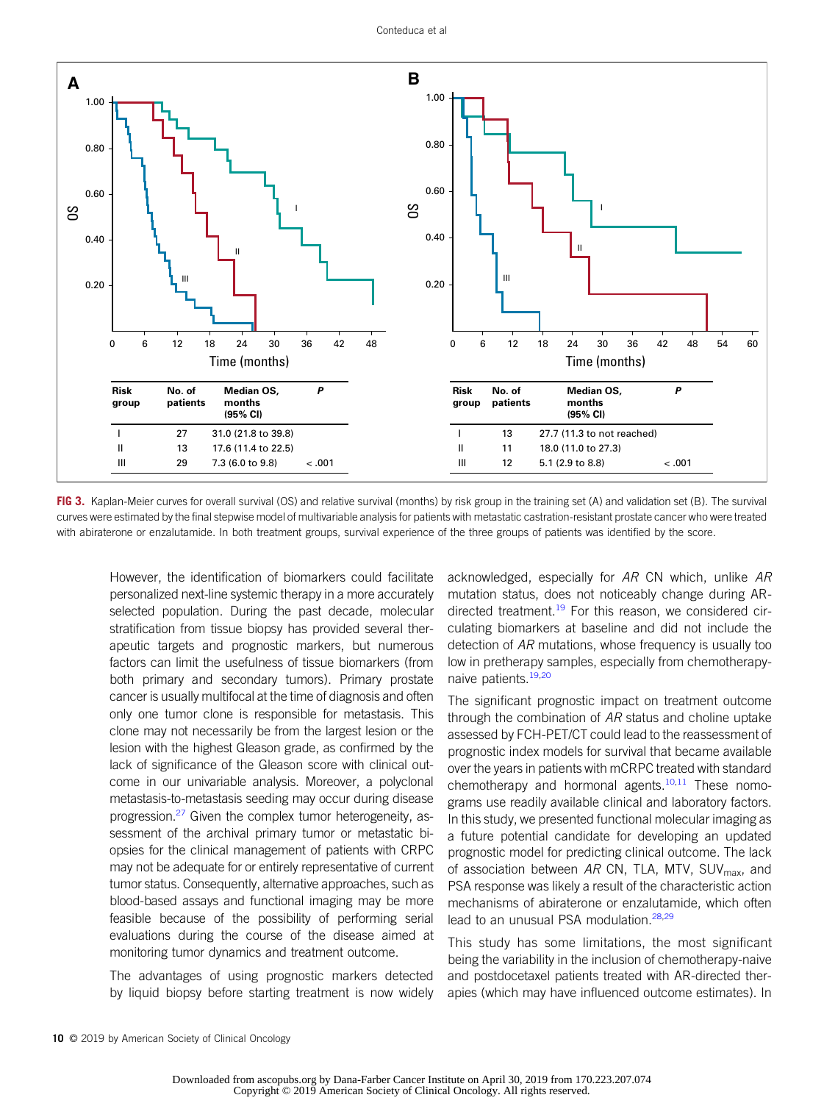<span id="page-9-0"></span>

FIG 3. Kaplan-Meier curves for overall survival (OS) and relative survival (months) by risk group in the training set (A) and validation set (B). The survival curves were estimated by the final stepwise model of multivariable analysis for patients with metastatic castration-resistant prostate cancer who were treated with abiraterone or enzalutamide. In both treatment groups, survival experience of the three groups of patients was identified by the score.

However, the identification of biomarkers could facilitate personalized next-line systemic therapy in a more accurately selected population. During the past decade, molecular stratification from tissue biopsy has provided several therapeutic targets and prognostic markers, but numerous factors can limit the usefulness of tissue biomarkers (from both primary and secondary tumors). Primary prostate cancer is usually multifocal at the time of diagnosis and often only one tumor clone is responsible for metastasis. This clone may not necessarily be from the largest lesion or the lesion with the highest Gleason grade, as confirmed by the lack of significance of the Gleason score with clinical outcome in our univariable analysis. Moreover, a polyclonal metastasis-to-metastasis seeding may occur during disease progression.<sup>27</sup> Given the complex tumor heterogeneity, assessment of the archival primary tumor or metastatic biopsies for the clinical management of patients with CRPC may not be adequate for or entirely representative of current tumor status. Consequently, alternative approaches, such as blood-based assays and functional imaging may be more feasible because of the possibility of performing serial evaluations during the course of the disease aimed at monitoring tumor dynamics and treatment outcome.

The advantages of using prognostic markers detected by liquid biopsy before starting treatment is now widely

acknowledged, especially for AR CN which, unlike AR mutation status, does not noticeably change during AR-directed treatment.<sup>[19](#page-12-0)</sup> For this reason, we considered circulating biomarkers at baseline and did not include the detection of AR mutations, whose frequency is usually too low in pretherapy samples, especially from chemotherapy-naive patients.<sup>[19,20](#page-12-0)</sup>

The significant prognostic impact on treatment outcome through the combination of AR status and choline uptake assessed by FCH-PET/CT could lead to the reassessment of prognostic index models for survival that became available over the years in patients with mCRPC treated with standard chemotherapy and hormonal agents.<sup>[10](#page-12-0),[11](#page-12-0)</sup> These nomograms use readily available clinical and laboratory factors. In this study, we presented functional molecular imaging as a future potential candidate for developing an updated prognostic model for predicting clinical outcome. The lack of association between  $AR$  CN, TLA, MTV, SUV $_{\text{max}}$ , and PSA response was likely a result of the characteristic action mechanisms of abiraterone or enzalutamide, which often lead to an unusual PSA modulation.<sup>28,29</sup>

This study has some limitations, the most significant being the variability in the inclusion of chemotherapy-naive and postdocetaxel patients treated with AR-directed therapies (which may have influenced outcome estimates). In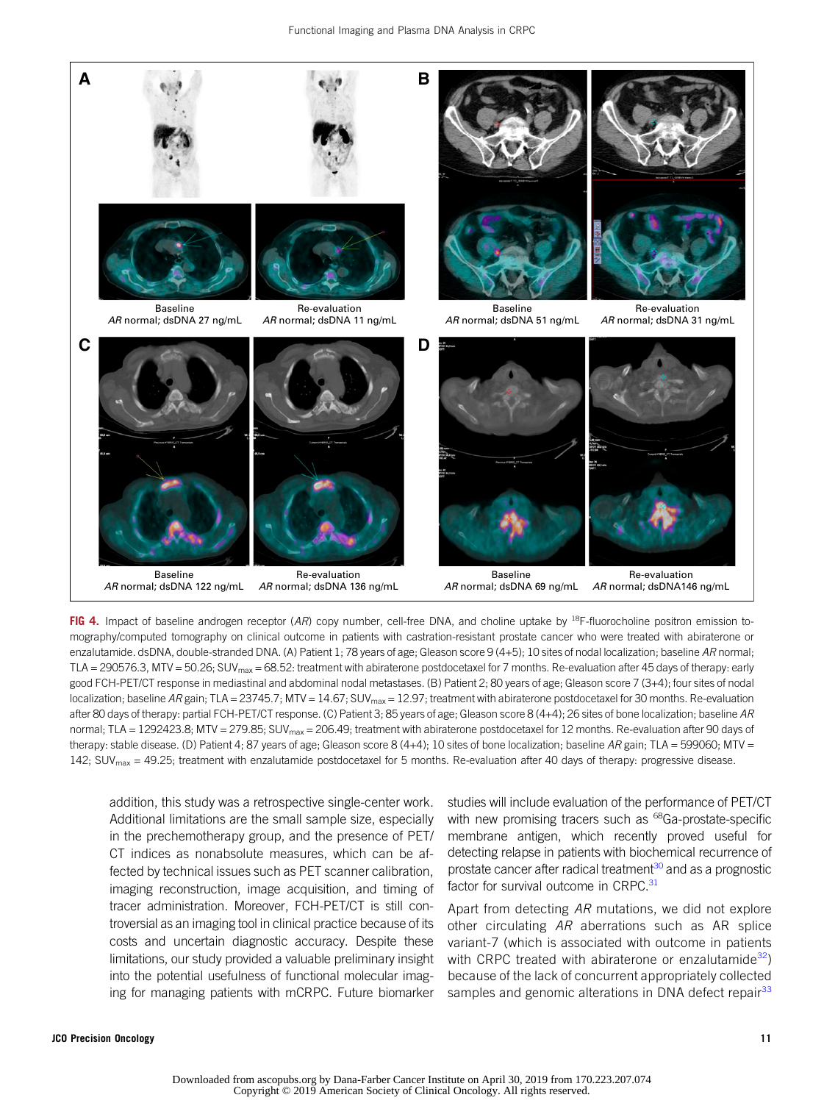<span id="page-10-0"></span>

FIG 4. Impact of baseline androgen receptor  $(AR)$  copy number, cell-free DNA, and choline uptake by <sup>18</sup>F-fluorocholine positron emission tomography/computed tomography on clinical outcome in patients with castration-resistant prostate cancer who were treated with abiraterone or enzalutamide. dsDNA, double-stranded DNA. (A) Patient 1; 78 years of age; Gleason score 9 (4+5); 10 sites of nodal localization; baseline AR normal; TLA = 290576.3, MTV = 50.26; SUV<sub>max</sub> = 68.52: treatment with abiraterone postdocetaxel for 7 months. Re-evaluation after 45 days of therapy: early good FCH-PET/CT response in mediastinal and abdominal nodal metastases. (B) Patient 2; 80 years of age; Gleason score 7 (3+4); four sites of nodal localization; baseline AR gain; TLA = 23745.7; MTV = 14.67; SUV<sub>max</sub> = 12.97; treatment with abiraterone postdocetaxel for 30 months. Re-evaluation after 80 days of therapy: partial FCH-PET/CT response. (C) Patient 3; 85 years of age; Gleason score 8 (4+4); 26 sites of bone localization; baseline AR normal; TLA = 1292423.8; MTV = 279.85; SUV<sub>max</sub> = 206.49; treatment with abiraterone postdocetaxel for 12 months. Re-evaluation after 90 days of therapy: stable disease. (D) Patient 4; 87 years of age; Gleason score 8 (4+4); 10 sites of bone localization; baseline AR gain; TLA = 599060; MTV = 142;  $SUV_{max} = 49.25$ ; treatment with enzalutamide postdocetaxel for 5 months. Re-evaluation after 40 days of therapy: progressive disease.

addition, this study was a retrospective single-center work. Additional limitations are the small sample size, especially in the prechemotherapy group, and the presence of PET/ CT indices as nonabsolute measures, which can be affected by technical issues such as PET scanner calibration, imaging reconstruction, image acquisition, and timing of tracer administration. Moreover, FCH-PET/CT is still controversial as an imaging tool in clinical practice because of its costs and uncertain diagnostic accuracy. Despite these limitations, our study provided a valuable preliminary insight into the potential usefulness of functional molecular imaging for managing patients with mCRPC. Future biomarker studies will include evaluation of the performance of PET/CT with new promising tracers such as <sup>68</sup>Ga-prostate-specific membrane antigen, which recently proved useful for detecting relapse in patients with biochemical recurrence of prostate cancer after radical treatment<sup>30</sup> and as a prognostic factor for survival outcome in CRPC.<sup>[31](#page-12-0)</sup>

Apart from detecting AR mutations, we did not explore other circulating AR aberrations such as AR splice variant-7 (which is associated with outcome in patients with CRPC treated with abiraterone or enzalutamide<sup>32</sup>) because of the lack of concurrent appropriately collected samples and genomic alterations in DNA defect repair<sup>[33](#page-12-0)</sup>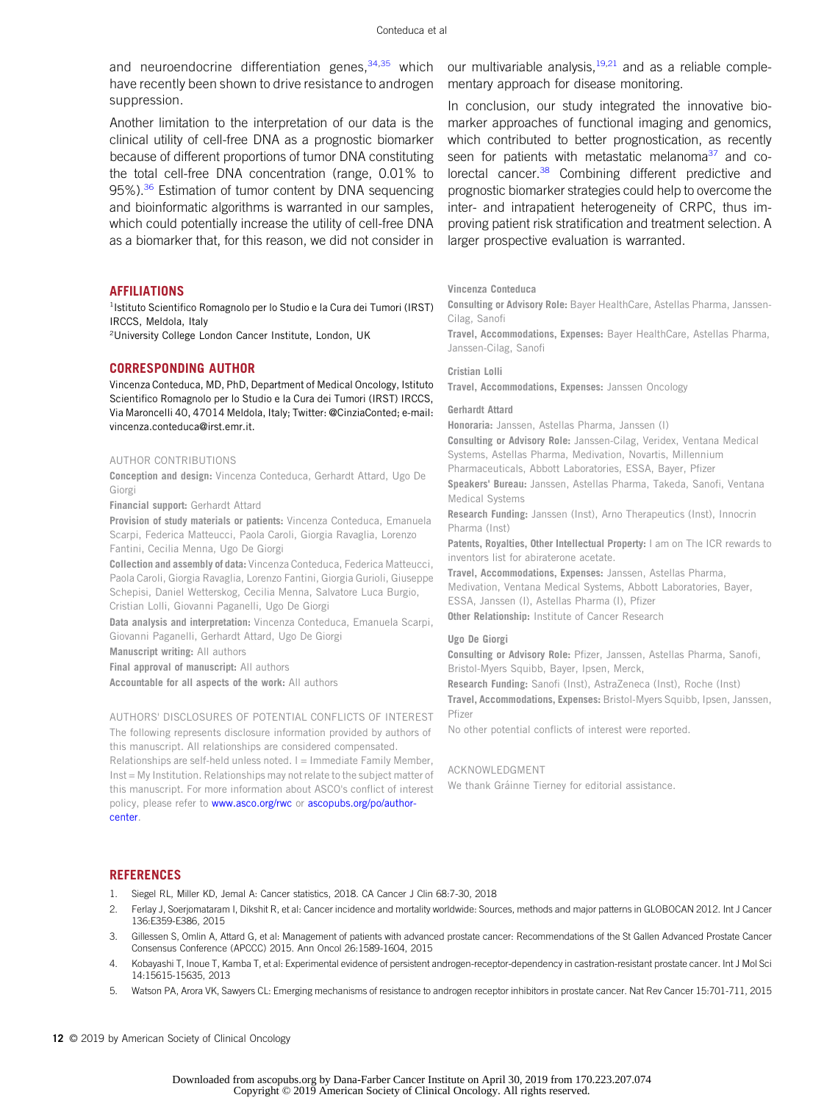<span id="page-11-0"></span>and neuroendocrine differentiation genes,  $34,35$  which have recently been shown to drive resistance to androgen suppression.

Another limitation to the interpretation of our data is the clinical utility of cell-free DNA as a prognostic biomarker because of different proportions of tumor DNA constituting the total cell-free DNA concentration (range, 0.01% to 95%). $36$  Estimation of tumor content by DNA sequencing and bioinformatic algorithms is warranted in our samples, which could potentially increase the utility of cell-free DNA as a biomarker that, for this reason, we did not consider in

#### AFFILIATIONS

<sup>1</sup>Istituto Scientifico Romagnolo per lo Studio e la Cura dei Tumori (IRST) IRCCS, Meldola, Italy

<sup>2</sup>University College London Cancer Institute, London, UK

## CORRESPONDING AUTHOR

Vincenza Conteduca, MD, PhD, Department of Medical Oncology, Istituto Scientifico Romagnolo per lo Studio e la Cura dei Tumori (IRST) IRCCS, Via Maroncelli 40, 47014 Meldola, Italy; Twitter: @CinziaConted; e-mail: vincenza.conteduca@irst.emr.it.

#### AUTHOR CONTRIBUTIONS

Conception and design: Vincenza Conteduca, Gerhardt Attard, Ugo De Giorgi

Financial support: Gerhardt Attard

Provision of study materials or patients: Vincenza Conteduca, Emanuela Scarpi, Federica Matteucci, Paola Caroli, Giorgia Ravaglia, Lorenzo Fantini, Cecilia Menna, Ugo De Giorgi

Collection and assembly of data: Vincenza Conteduca, Federica Matteucci, Paola Caroli, Giorgia Ravaglia, Lorenzo Fantini, Giorgia Gurioli, Giuseppe Schepisi, Daniel Wetterskog, Cecilia Menna, Salvatore Luca Burgio, Cristian Lolli, Giovanni Paganelli, Ugo De Giorgi

Data analysis and interpretation: Vincenza Conteduca, Emanuela Scarpi, Giovanni Paganelli, Gerhardt Attard, Ugo De Giorgi

Manuscript writing: All authors

Final approval of manuscript: All authors

Accountable for all aspects of the work: All authors

AUTHORS' DISCLOSURES OF POTENTIAL CONFLICTS OF INTEREST The following represents disclosure information provided by authors of this manuscript. All relationships are considered compensated. Relationships are self-held unless noted. I = Immediate Family Member, Inst = My Institution. Relationships may not relate to the subject matter of

this manuscript. For more information about ASCO's conflict of interest policy, please refer to [www.asco.org/rwc](http://www.asco.org/rwc) or [ascopubs.org/po/author](http://www.ascopubs.org/po/author-center)[center.](http://www.ascopubs.org/po/author-center)

our multivariable analysis, $19,21$  and as a reliable complementary approach for disease monitoring.

In conclusion, our study integrated the innovative biomarker approaches of functional imaging and genomics, which contributed to better prognostication, as recently seen for patients with metastatic melanoma<sup>[37](#page-12-0)</sup> and co-lorectal cancer.<sup>[38](#page-12-0)</sup> Combining different predictive and prognostic biomarker strategies could help to overcome the inter- and intrapatient heterogeneity of CRPC, thus improving patient risk stratification and treatment selection. A larger prospective evaluation is warranted.

Vincenza Conteduca

Consulting or Advisory Role: Bayer HealthCare, Astellas Pharma, Janssen-Cilag, Sanofi

Travel, Accommodations, Expenses: Bayer HealthCare, Astellas Pharma, Janssen-Cilag, Sanofi

Cristian Lolli

Travel, Accommodations, Expenses: Janssen Oncology

Gerhardt Attard

Honoraria: Janssen, Astellas Pharma, Janssen (I)

Consulting or Advisory Role: Janssen-Cilag, Veridex, Ventana Medical Systems, Astellas Pharma, Medivation, Novartis, Millennium

Pharmaceuticals, Abbott Laboratories, ESSA, Bayer, Pfizer

Speakers' Bureau: Janssen, Astellas Pharma, Takeda, Sanofi, Ventana Medical Systems

Research Funding: Janssen (Inst), Arno Therapeutics (Inst), Innocrin Pharma (Inst)

Patents, Royalties, Other Intellectual Property: I am on The ICR rewards to inventors list for abiraterone acetate.

Travel, Accommodations, Expenses: Janssen, Astellas Pharma, Medivation, Ventana Medical Systems, Abbott Laboratories, Bayer, ESSA, Janssen (I), Astellas Pharma (I), Pfizer

**Other Relationship: Institute of Cancer Research** 

#### Ugo De Giorgi

Consulting or Advisory Role: Pfizer, Janssen, Astellas Pharma, Sanofi, Bristol-Myers Squibb, Bayer, Ipsen, Merck,

Research Funding: Sanofi (Inst), AstraZeneca (Inst), Roche (Inst)

Travel, Accommodations, Expenses: Bristol-Myers Squibb, Ipsen, Janssen, Pfizer

No other potential conflicts of interest were reported.

#### ACKNOWLEDGMENT

We thank Gráinne Tierney for editorial assistance.

#### REFERENCES

- 1. Siegel RL, Miller KD, Jemal A: Cancer statistics, 2018. CA Cancer J Clin 68:7-30, 2018
- 2. Ferlay J, Soerjomataram I, Dikshit R, et al: Cancer incidence and mortality worldwide: Sources, methods and major patterns in GLOBOCAN 2012. Int J Cancer 136:E359-E386, 2015
- 3. Gillessen S, Omlin A, Attard G, et al: Management of patients with advanced prostate cancer: Recommendations of the St Gallen Advanced Prostate Cancer Consensus Conference (APCCC) 2015. Ann Oncol 26:1589-1604, 2015
- 4. Kobayashi T, Inoue T, Kamba T, et al: Experimental evidence of persistent androgen-receptor-dependency in castration-resistant prostate cancer. Int J Mol Sci 14:15615-15635, 2013
- 5. Watson PA, Arora VK, Sawyers CL: Emerging mechanisms of resistance to androgen receptor inhibitors in prostate cancer. Nat Rev Cancer 15:701-711, 2015